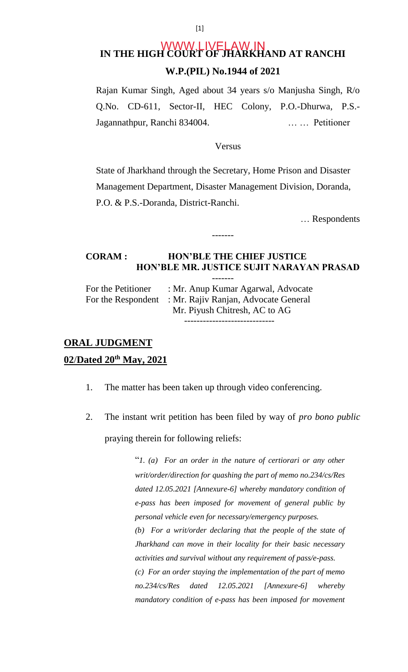# **IN THE HIGH COURT OF JHARKHAND AT RANCHI W.P.(PIL) No.1944 of 2021**  WWW.LIVELAW.IN

Rajan Kumar Singh, Aged about 34 years s/o Manjusha Singh, R/o Q.No. CD-611, Sector-II, HEC Colony, P.O.-Dhurwa, P.S.- Jagannathpur, Ranchi 834004. … … Petitioner

#### Versus

State of Jharkhand through the Secretary, Home Prison and Disaster Management Department, Disaster Management Division, Doranda, P.O. & P.S.-Doranda, District-Ranchi.

… Respondents

## **CORAM : HON'BLE THE CHIEF JUSTICE HON'BLE MR. JUSTICE SUJIT NARAYAN PRASAD**

-------

-------

| For the Petitioner | : Mr. Anup Kumar Agarwal, Advocate                      |
|--------------------|---------------------------------------------------------|
|                    | For the Respondent : Mr. Rajiv Ranjan, Advocate General |
|                    | Mr. Piyush Chitresh, AC to AG                           |
|                    |                                                         |

# **ORAL JUDGMENT 02**/**Dated 20th May, 2021**

- 1. The matter has been taken up through video conferencing.
- 2. The instant writ petition has been filed by way of *pro bono public* praying therein for following reliefs:

"*1. (a) For an order in the nature of certiorari or any other writ/order/direction for quashing the part of memo no.234/cs/Res dated 12.05.2021 [Annexure-6] whereby mandatory condition of e-pass has been imposed for movement of general public by personal vehicle even for necessary/emergency purposes. (b) For a writ/order declaring that the people of the state of Jharkhand can move in their locality for their basic necessary activities and survival without any requirement of pass/e-pass. (c) For an order staying the implementation of the part of memo no.234/cs/Res dated 12.05.2021 [Annexure-6] whereby mandatory condition of e-pass has been imposed for movement*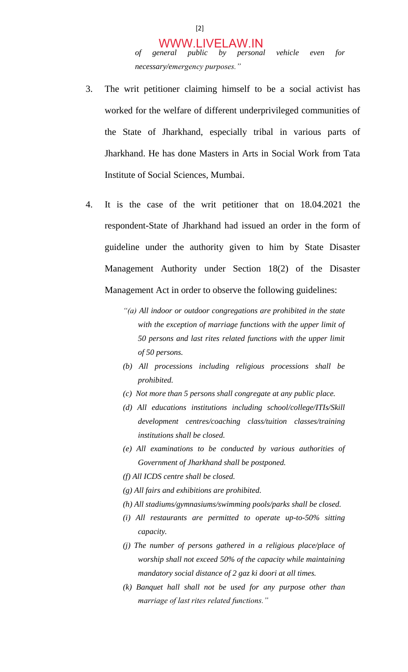- 3. The writ petitioner claiming himself to be a social activist has worked for the welfare of different underprivileged communities of the State of Jharkhand, especially tribal in various parts of Jharkhand. He has done Masters in Arts in Social Work from Tata Institute of Social Sciences, Mumbai.
- 4. It is the case of the writ petitioner that on 18.04.2021 the respondent-State of Jharkhand had issued an order in the form of guideline under the authority given to him by State Disaster Management Authority under Section 18(2) of the Disaster Management Act in order to observe the following guidelines:
	- *"(a) All indoor or outdoor congregations are prohibited in the state with the exception of marriage functions with the upper limit of 50 persons and last rites related functions with the upper limit of 50 persons.*
	- *(b) All processions including religious processions shall be prohibited.*
	- *(c) Not more than 5 persons shall congregate at any public place.*
	- *(d) All educations institutions including school/college/ITIs/Skill development centres/coaching class/tuition classes/training institutions shall be closed.*
	- *(e) All examinations to be conducted by various authorities of Government of Jharkhand shall be postponed.*
	- *(f) All ICDS centre shall be closed.*
	- *(g) All fairs and exhibitions are prohibited.*
	- *(h) All stadiums/gymnasiums/swimming pools/parks shall be closed.*
	- *(i) All restaurants are permitted to operate up-to-50% sitting capacity.*
	- *(j) The number of persons gathered in a religious place/place of worship shall not exceed 50% of the capacity while maintaining mandatory social distance of 2 gaz ki doori at all times.*
	- *(k) Banquet hall shall not be used for any purpose other than marriage of last rites related functions."*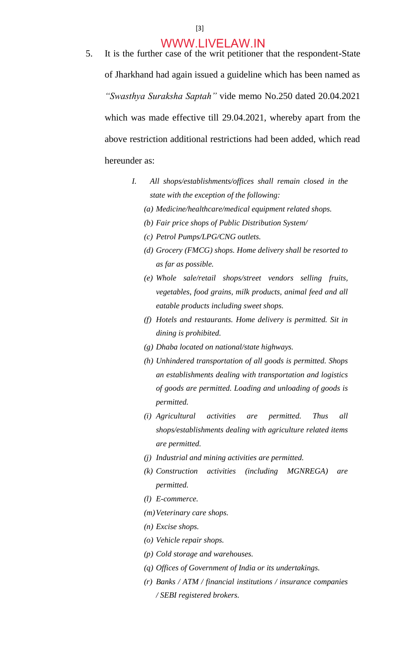- 5. It is the further case of the writ petitioner that the respondent-State of Jharkhand had again issued a guideline which has been named as *"Swasthya Suraksha Saptah"* vide memo No.250 dated 20.04.2021 which was made effective till 29.04.2021, whereby apart from the above restriction additional restrictions had been added, which read hereunder as:
	- *I. All shops/establishments/offices shall remain closed in the state with the exception of the following:* 
		- *(a) Medicine/healthcare/medical equipment related shops.*
		- *(b) Fair price shops of Public Distribution System/*
		- *(c) Petrol Pumps/LPG/CNG outlets.*
		- *(d) Grocery (FMCG) shops. Home delivery shall be resorted to as far as possible.*
		- *(e) Whole sale/retail shops/street vendors selling fruits, vegetables, food grains, milk products, animal feed and all eatable products including sweet shops.*
		- *(f) Hotels and restaurants. Home delivery is permitted. Sit in dining is prohibited.*
		- *(g) Dhaba located on national/state highways.*
		- *(h) Unhindered transportation of all goods is permitted. Shops an establishments dealing with transportation and logistics of goods are permitted. Loading and unloading of goods is permitted.*
		- *(i) Agricultural activities are permitted. Thus all shops/establishments dealing with agriculture related items are permitted.*
		- *(j) Industrial and mining activities are permitted.*
		- *(k) Construction activities (including MGNREGA) are permitted.*
		- *(l) E-commerce.*
		- *(m)Veterinary care shops.*
		- *(n) Excise shops.*
		- *(o) Vehicle repair shops.*
		- *(p) Cold storage and warehouses.*
		- *(q) Offices of Government of India or its undertakings.*
		- *(r) Banks / ATM / financial institutions / insurance companies / SEBI registered brokers.*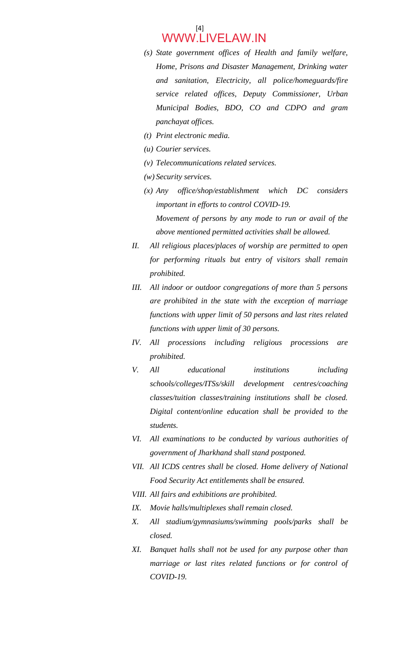#### [4] WWW.LIVELAW.IN

- *(s) State government offices of Health and family welfare, Home, Prisons and Disaster Management, Drinking water and sanitation, Electricity, all police/homeguards/fire service related offices, Deputy Commissioner, Urban Municipal Bodies, BDO, CO and CDPO and gram panchayat offices.*
- *(t) Print electronic media.*
- *(u) Courier services.*
- *(v) Telecommunications related services.*
- *(w) Security services.*
- *(x) Any office/shop/establishment which DC considers important in efforts to control COVID-19. Movement of persons by any mode to run or avail of the above mentioned permitted activities shall be allowed.*
- *II. All religious places/places of worship are permitted to open for performing rituals but entry of visitors shall remain prohibited.*
- *III. All indoor or outdoor congregations of more than 5 persons are prohibited in the state with the exception of marriage functions with upper limit of 50 persons and last rites related functions with upper limit of 30 persons.*
- *IV. All processions including religious processions are prohibited.*
- *V. All educational institutions including schools/colleges/ITSs/skill development centres/coaching classes/tuition classes/training institutions shall be closed. Digital content/online education shall be provided to the students.*
- *VI. All examinations to be conducted by various authorities of government of Jharkhand shall stand postponed.*
- *VII. All ICDS centres shall be closed. Home delivery of National Food Security Act entitlements shall be ensured.*
- *VIII. All fairs and exhibitions are prohibited.*
- *IX. Movie halls/multiplexes shall remain closed.*
- *X. All stadium/gymnasiums/swimming pools/parks shall be closed.*
- *XI. Banquet halls shall not be used for any purpose other than marriage or last rites related functions or for control of COVID-19.*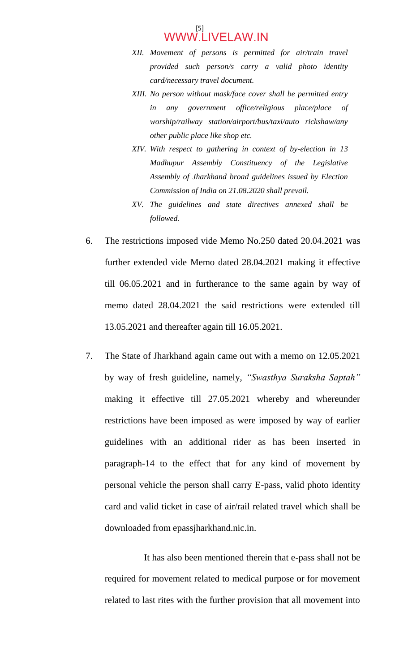- *XII. Movement of persons is permitted for air/train travel provided such person/s carry a valid photo identity card/necessary travel document.*
- *XIII. No person without mask/face cover shall be permitted entry in any government office/religious place/place of worship/railway station/airport/bus/taxi/auto rickshaw/any other public place like shop etc.*
- *XIV. With respect to gathering in context of by-election in 13 Madhupur Assembly Constituency of the Legislative Assembly of Jharkhand broad guidelines issued by Election Commission of India on 21.08.2020 shall prevail.*
- *XV. The guidelines and state directives annexed shall be followed.*
- 6. The restrictions imposed vide Memo No.250 dated 20.04.2021 was further extended vide Memo dated 28.04.2021 making it effective till 06.05.2021 and in furtherance to the same again by way of memo dated 28.04.2021 the said restrictions were extended till 13.05.2021 and thereafter again till 16.05.2021.
- 7. The State of Jharkhand again came out with a memo on 12.05.2021 by way of fresh guideline, namely, *"Swasthya Suraksha Saptah"*  making it effective till 27.05.2021 whereby and whereunder restrictions have been imposed as were imposed by way of earlier guidelines with an additional rider as has been inserted in paragraph-14 to the effect that for any kind of movement by personal vehicle the person shall carry E-pass, valid photo identity card and valid ticket in case of air/rail related travel which shall be downloaded from epassjharkhand.nic.in.

 It has also been mentioned therein that e-pass shall not be required for movement related to medical purpose or for movement related to last rites with the further provision that all movement into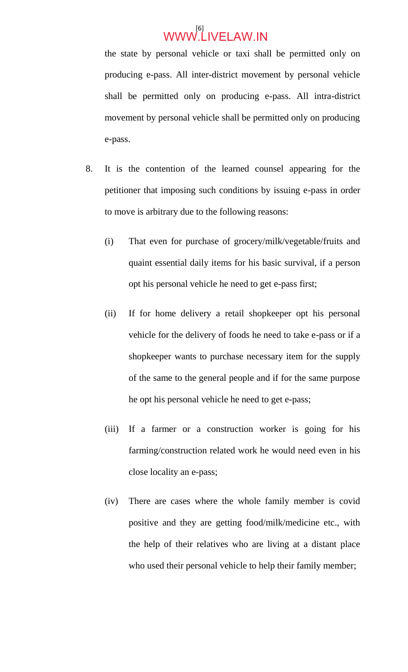the state by personal vehicle or taxi shall be permitted only on producing e-pass. All inter-district movement by personal vehicle shall be permitted only on producing e-pass. All intra-district movement by personal vehicle shall be permitted only on producing e-pass.

- 8. It is the contention of the learned counsel appearing for the petitioner that imposing such conditions by issuing e-pass in order to move is arbitrary due to the following reasons:
	- (i) That even for purchase of grocery/milk/vegetable/fruits and quaint essential daily items for his basic survival, if a person opt his personal vehicle he need to get e-pass first;
	- (ii) If for home delivery a retail shopkeeper opt his personal vehicle for the delivery of foods he need to take e-pass or if a shopkeeper wants to purchase necessary item for the supply of the same to the general people and if for the same purpose he opt his personal vehicle he need to get e-pass;
	- (iii) If a farmer or a construction worker is going for his farming/construction related work he would need even in his close locality an e-pass;
	- (iv) There are cases where the whole family member is covid positive and they are getting food/milk/medicine etc., with the help of their relatives who are living at a distant place who used their personal vehicle to help their family member;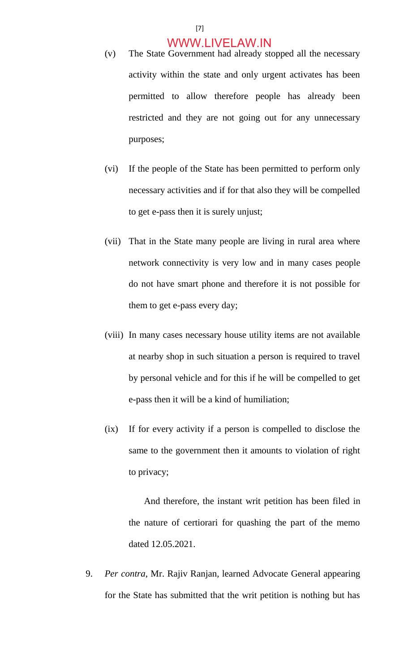- (v) The State Government had already stopped all the necessary activity within the state and only urgent activates has been permitted to allow therefore people has already been restricted and they are not going out for any unnecessary purposes;
- (vi) If the people of the State has been permitted to perform only necessary activities and if for that also they will be compelled to get e-pass then it is surely unjust;
- (vii) That in the State many people are living in rural area where network connectivity is very low and in many cases people do not have smart phone and therefore it is not possible for them to get e-pass every day;
- (viii) In many cases necessary house utility items are not available at nearby shop in such situation a person is required to travel by personal vehicle and for this if he will be compelled to get e-pass then it will be a kind of humiliation;
- (ix) If for every activity if a person is compelled to disclose the same to the government then it amounts to violation of right to privacy;

 And therefore, the instant writ petition has been filed in the nature of certiorari for quashing the part of the memo dated 12.05.2021.

9. *Per contra*, Mr. Rajiv Ranjan, learned Advocate General appearing for the State has submitted that the writ petition is nothing but has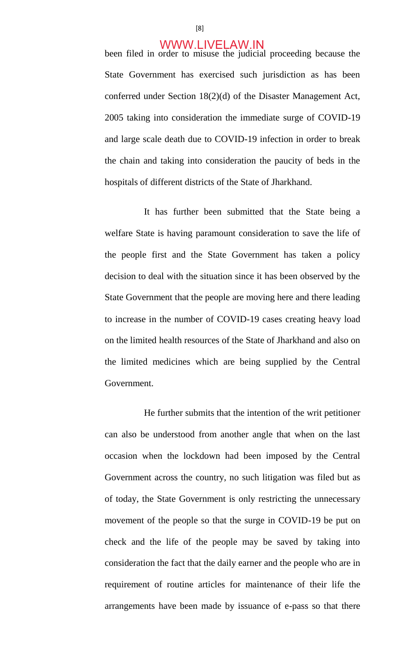been filed in order to misuse the judicial proceeding because the State Government has exercised such jurisdiction as has been conferred under Section 18(2)(d) of the Disaster Management Act, 2005 taking into consideration the immediate surge of COVID-19 and large scale death due to COVID-19 infection in order to break the chain and taking into consideration the paucity of beds in the hospitals of different districts of the State of Jharkhand.

It has further been submitted that the State being a welfare State is having paramount consideration to save the life of the people first and the State Government has taken a policy decision to deal with the situation since it has been observed by the State Government that the people are moving here and there leading to increase in the number of COVID-19 cases creating heavy load on the limited health resources of the State of Jharkhand and also on the limited medicines which are being supplied by the Central Government.

 He further submits that the intention of the writ petitioner can also be understood from another angle that when on the last occasion when the lockdown had been imposed by the Central Government across the country, no such litigation was filed but as of today, the State Government is only restricting the unnecessary movement of the people so that the surge in COVID-19 be put on check and the life of the people may be saved by taking into consideration the fact that the daily earner and the people who are in requirement of routine articles for maintenance of their life the arrangements have been made by issuance of e-pass so that there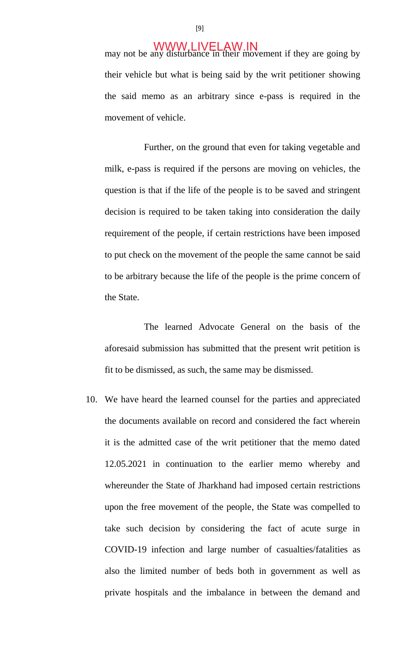may not be any disturbance in their movement if they are going by their vehicle but what is being said by the writ petitioner showing the said memo as an arbitrary since e-pass is required in the movement of vehicle.

 Further, on the ground that even for taking vegetable and milk, e-pass is required if the persons are moving on vehicles, the question is that if the life of the people is to be saved and stringent decision is required to be taken taking into consideration the daily requirement of the people, if certain restrictions have been imposed to put check on the movement of the people the same cannot be said to be arbitrary because the life of the people is the prime concern of the State.

 The learned Advocate General on the basis of the aforesaid submission has submitted that the present writ petition is fit to be dismissed, as such, the same may be dismissed.

10. We have heard the learned counsel for the parties and appreciated the documents available on record and considered the fact wherein it is the admitted case of the writ petitioner that the memo dated 12.05.2021 in continuation to the earlier memo whereby and whereunder the State of Jharkhand had imposed certain restrictions upon the free movement of the people, the State was compelled to take such decision by considering the fact of acute surge in COVID-19 infection and large number of casualties/fatalities as also the limited number of beds both in government as well as private hospitals and the imbalance in between the demand and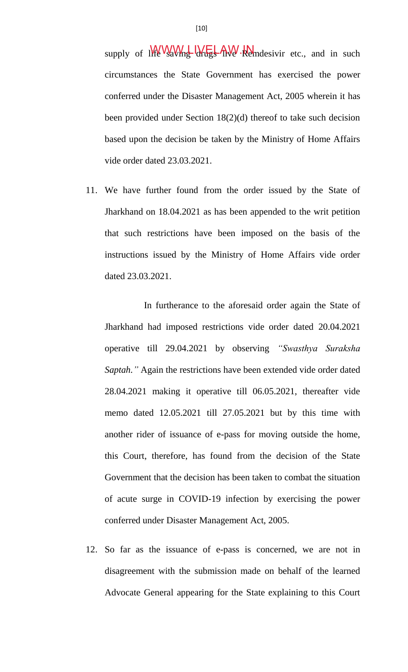supply of  $\frac{1}{2}$   $\frac{1}{2}$   $\frac{1}{2}$   $\frac{1}{2}$   $\frac{1}{2}$   $\frac{1}{2}$   $\frac{1}{2}$   $\frac{1}{2}$   $\frac{1}{2}$   $\frac{1}{2}$   $\frac{1}{2}$   $\frac{1}{2}$   $\frac{1}{2}$   $\frac{1}{2}$   $\frac{1}{2}$   $\frac{1}{2}$   $\frac{1}{2}$   $\frac{1}{2}$   $\frac{1}{2}$   $\frac{1}{2}$   $\frac{1}{2}$  circumstances the State Government has exercised the power conferred under the Disaster Management Act, 2005 wherein it has been provided under Section 18(2)(d) thereof to take such decision based upon the decision be taken by the Ministry of Home Affairs vide order dated 23.03.2021.

11. We have further found from the order issued by the State of Jharkhand on 18.04.2021 as has been appended to the writ petition that such restrictions have been imposed on the basis of the instructions issued by the Ministry of Home Affairs vide order dated 23.03.2021.

 In furtherance to the aforesaid order again the State of Jharkhand had imposed restrictions vide order dated 20.04.2021 operative till 29.04.2021 by observing *"Swasthya Suraksha Saptah."* Again the restrictions have been extended vide order dated 28.04.2021 making it operative till 06.05.2021, thereafter vide memo dated 12.05.2021 till 27.05.2021 but by this time with another rider of issuance of e-pass for moving outside the home, this Court, therefore, has found from the decision of the State Government that the decision has been taken to combat the situation of acute surge in COVID-19 infection by exercising the power conferred under Disaster Management Act, 2005.

12. So far as the issuance of e-pass is concerned, we are not in disagreement with the submission made on behalf of the learned Advocate General appearing for the State explaining to this Court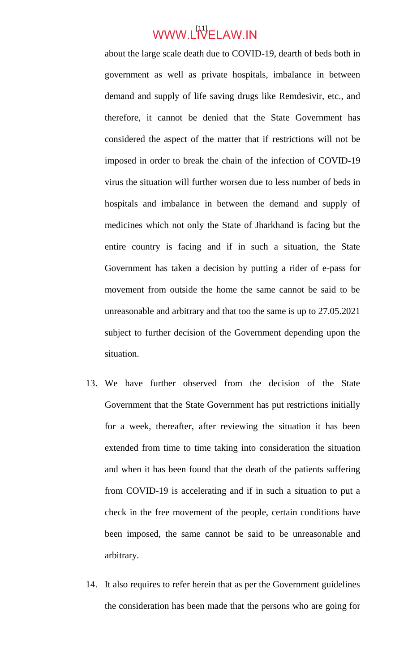# WWW.L<sup>[11]</sup>ELAW.IN

about the large scale death due to COVID-19, dearth of beds both in government as well as private hospitals, imbalance in between demand and supply of life saving drugs like Remdesivir, etc., and therefore, it cannot be denied that the State Government has considered the aspect of the matter that if restrictions will not be imposed in order to break the chain of the infection of COVID-19 virus the situation will further worsen due to less number of beds in hospitals and imbalance in between the demand and supply of medicines which not only the State of Jharkhand is facing but the entire country is facing and if in such a situation, the State Government has taken a decision by putting a rider of e-pass for movement from outside the home the same cannot be said to be unreasonable and arbitrary and that too the same is up to 27.05.2021 subject to further decision of the Government depending upon the situation.

- 13. We have further observed from the decision of the State Government that the State Government has put restrictions initially for a week, thereafter, after reviewing the situation it has been extended from time to time taking into consideration the situation and when it has been found that the death of the patients suffering from COVID-19 is accelerating and if in such a situation to put a check in the free movement of the people, certain conditions have been imposed, the same cannot be said to be unreasonable and arbitrary.
- 14. It also requires to refer herein that as per the Government guidelines the consideration has been made that the persons who are going for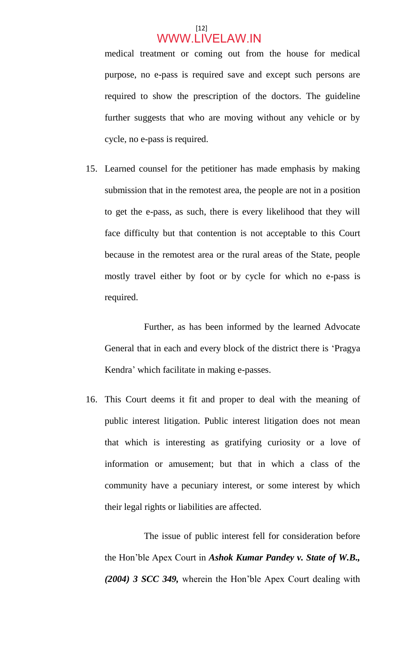### $[12]$ WWW.LIVELAW.IN

medical treatment or coming out from the house for medical purpose, no e-pass is required save and except such persons are required to show the prescription of the doctors. The guideline further suggests that who are moving without any vehicle or by cycle, no e-pass is required.

15. Learned counsel for the petitioner has made emphasis by making submission that in the remotest area, the people are not in a position to get the e-pass, as such, there is every likelihood that they will face difficulty but that contention is not acceptable to this Court because in the remotest area or the rural areas of the State, people mostly travel either by foot or by cycle for which no e-pass is required.

 Further, as has been informed by the learned Advocate General that in each and every block of the district there is 'Pragya Kendra' which facilitate in making e-passes.

16. This Court deems it fit and proper to deal with the meaning of public interest litigation. Public interest litigation does not mean that which is interesting as gratifying curiosity or a love of information or amusement; but that in which a class of the community have a pecuniary interest, or some interest by which their legal rights or liabilities are affected.

 The issue of public interest fell for consideration before the Hon'ble Apex Court in *Ashok Kumar Pandey v. State of W.B., (2004) 3 SCC 349,* wherein the Hon'ble Apex Court dealing with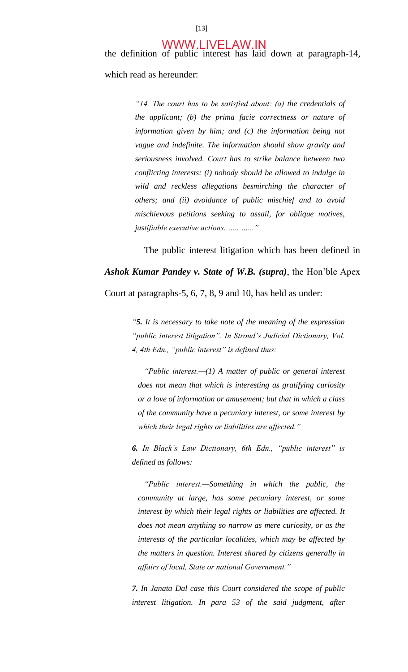the definition of public interest has laid down at paragraph-14, which read as hereunder:

> *"14. The court has to be satisfied about: (a) the credentials of the applicant; (b) the prima facie correctness or nature of information given by him; and (c) the information being not vague and indefinite. The information should show gravity and seriousness involved. Court has to strike balance between two conflicting interests: (i) nobody should be allowed to indulge in wild and reckless allegations besmirching the character of others; and (ii) avoidance of public mischief and to avoid mischievous petitions seeking to assail, for oblique motives, justifiable executive actions. ….. …..."*

 The public interest litigation which has been defined in *Ashok Kumar Pandey v. State of W.B. (supra)*, the Hon'ble Apex

Court at paragraphs-5, 6, 7, 8, 9 and 10, has held as under:

*"5. It is necessary to take note of the meaning of the expression "public interest litigation". In Stroud's Judicial Dictionary, Vol. 4, 4th Edn., "public interest" is defined thus:* 

*"Public interest.—(1) A matter of public or general interest does not mean that which is interesting as gratifying curiosity or a love of information or amusement; but that in which a class of the community have a pecuniary interest, or some interest by which their legal rights or liabilities are affected."* 

*6. In Black's Law Dictionary, 6th Edn., "public interest" is defined as follows:* 

*"Public interest.—Something in which the public, the community at large, has some pecuniary interest, or some interest by which their legal rights or liabilities are affected. It does not mean anything so narrow as mere curiosity, or as the interests of the particular localities, which may be affected by the matters in question. Interest shared by citizens generally in affairs of local, State or national Government."* 

*7. In Janata Dal case this Court considered the scope of public*  interest litigation. In para 53 of the said judgment, after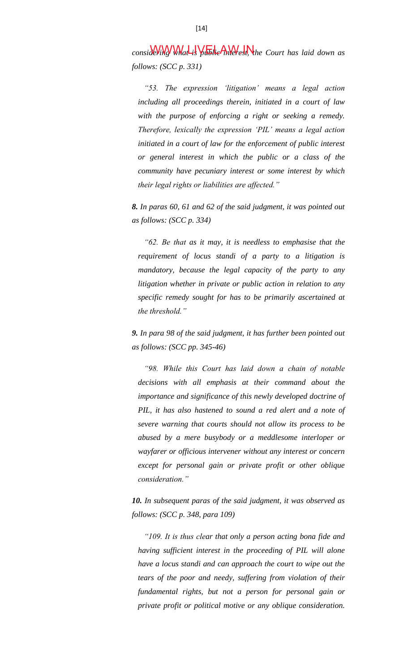considering What is the finite of the Court has laid down as *follows: (SCC p. 331)* 

*"53. The expression 'litigation' means a legal action including all proceedings therein, initiated in a court of law with the purpose of enforcing a right or seeking a remedy. Therefore, lexically the expression 'PIL' means a legal action initiated in a court of law for the enforcement of public interest or general interest in which the public or a class of the community have pecuniary interest or some interest by which their legal rights or liabilities are affected."* 

*8. In paras 60, 61 and 62 of the said judgment, it was pointed out as follows: (SCC p. 334)* 

*"62. Be that as it may, it is needless to emphasise that the requirement of locus standi of a party to a litigation is mandatory, because the legal capacity of the party to any litigation whether in private or public action in relation to any specific remedy sought for has to be primarily ascertained at the threshold."*

*9. In para 98 of the said judgment, it has further been pointed out as follows: (SCC pp. 345-46)* 

*"98. While this Court has laid down a chain of notable decisions with all emphasis at their command about the importance and significance of this newly developed doctrine of PIL, it has also hastened to sound a red alert and a note of severe warning that courts should not allow its process to be abused by a mere busybody or a meddlesome interloper or wayfarer or officious intervener without any interest or concern except for personal gain or private profit or other oblique consideration."* 

*10. In subsequent paras of the said judgment, it was observed as follows: (SCC p. 348, para 109)* 

*"109. It is thus clear that only a person acting bona fide and having sufficient interest in the proceeding of PIL will alone have a locus standi and can approach the court to wipe out the tears of the poor and needy, suffering from violation of their fundamental rights, but not a person for personal gain or private profit or political motive or any oblique consideration.*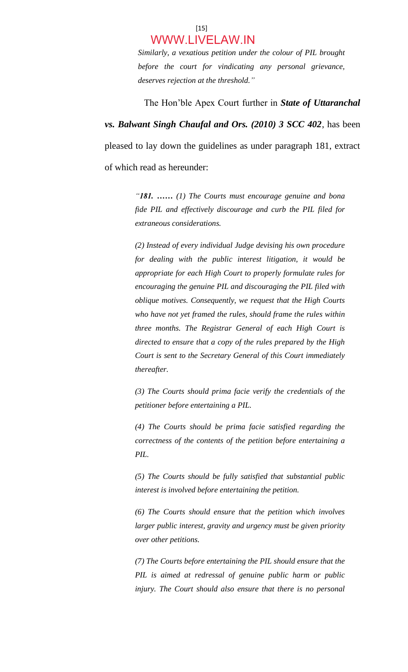#### $[15]$ WWW.LIVELAW.IN

*Similarly, a vexatious petition under the colour of PIL brought before the court for vindicating any personal grievance, deserves rejection at the threshold."*

 The Hon'ble Apex Court further in *State of Uttaranchal vs. Balwant Singh Chaufal and Ors. (2010) 3 SCC 402*, has been pleased to lay down the guidelines as under paragraph 181, extract of which read as hereunder:

> *"181. …… (1) The Courts must encourage genuine and bona fide PIL and effectively discourage and curb the PIL filed for extraneous considerations.*

> *(2) Instead of every individual Judge devising his own procedure for dealing with the public interest litigation, it would be appropriate for each High Court to properly formulate rules for encouraging the genuine PIL and discouraging the PIL filed with oblique motives. Consequently, we request that the High Courts who have not yet framed the rules, should frame the rules within three months. The Registrar General of each High Court is directed to ensure that a copy of the rules prepared by the High Court is sent to the Secretary General of this Court immediately thereafter.*

> *(3) The Courts should prima facie verify the credentials of the petitioner before entertaining a PIL.*

> *(4) The Courts should be prima facie satisfied regarding the correctness of the contents of the petition before entertaining a PIL.*

> *(5) The Courts should be fully satisfied that substantial public interest is involved before entertaining the petition.*

> *(6) The Courts should ensure that the petition which involves larger public interest, gravity and urgency must be given priority over other petitions.*

> *(7) The Courts before entertaining the PIL should ensure that the PIL is aimed at redressal of genuine public harm or public injury. The Court should also ensure that there is no personal*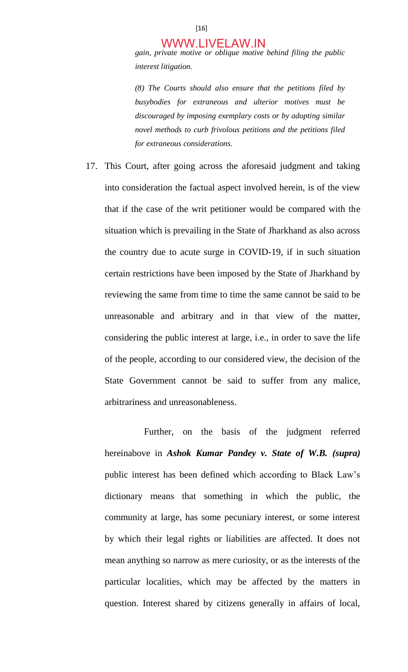*gain, private motive or oblique motive behind filing the public interest litigation.* 

*(8) The Courts should also ensure that the petitions filed by busybodies for extraneous and ulterior motives must be discouraged by imposing exemplary costs or by adopting similar novel methods to curb frivolous petitions and the petitions filed for extraneous considerations.* 

17. This Court, after going across the aforesaid judgment and taking into consideration the factual aspect involved herein, is of the view that if the case of the writ petitioner would be compared with the situation which is prevailing in the State of Jharkhand as also across the country due to acute surge in COVID-19, if in such situation certain restrictions have been imposed by the State of Jharkhand by reviewing the same from time to time the same cannot be said to be unreasonable and arbitrary and in that view of the matter, considering the public interest at large, i.e., in order to save the life of the people, according to our considered view, the decision of the State Government cannot be said to suffer from any malice, arbitrariness and unreasonableness.

 Further, on the basis of the judgment referred hereinabove in *Ashok Kumar Pandey v. State of W.B. (supra)* public interest has been defined which according to Black Law's dictionary means that something in which the public, the community at large, has some pecuniary interest, or some interest by which their legal rights or liabilities are affected. It does not mean anything so narrow as mere curiosity, or as the interests of the particular localities, which may be affected by the matters in question. Interest shared by citizens generally in affairs of local,